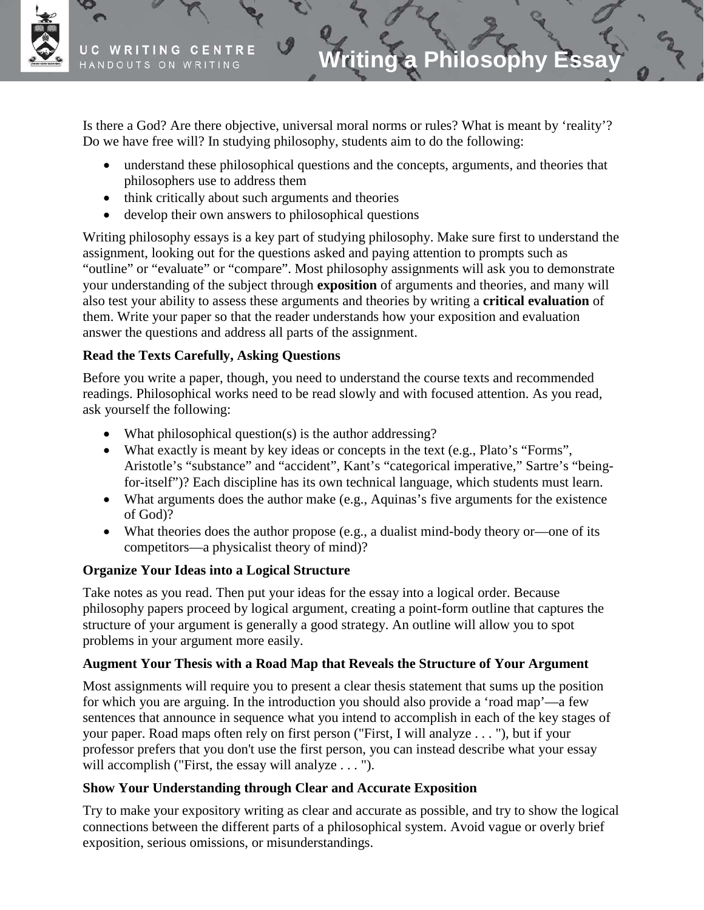

Is there a God? Are there objective, universal moral norms or rules? What is meant by 'reality'? Do we have free will? In studying philosophy, students aim to do the following:

- understand these philosophical questions and the concepts, arguments, and theories that philosophers use to address them
- think critically about such arguments and theories
- develop their own answers to philosophical questions

Writing philosophy essays is a key part of studying philosophy. Make sure first to understand the assignment, looking out for the questions asked and paying attention to prompts such as "outline" or "evaluate" or "compare". Most philosophy assignments will ask you to demonstrate your understanding of the subject through **exposition** of arguments and theories, and many will also test your ability to assess these arguments and theories by writing a **critical evaluation** of them. Write your paper so that the reader understands how your exposition and evaluation answer the questions and address all parts of the assignment.

## **Read the Texts Carefully, Asking Questions**

Before you write a paper, though, you need to understand the course texts and recommended readings. Philosophical works need to be read slowly and with focused attention. As you read, ask yourself the following:

- What philosophical question(s) is the author addressing?
- What exactly is meant by key ideas or concepts in the text (e.g., Plato's "Forms", Aristotle's "substance" and "accident", Kant's "categorical imperative," Sartre's "beingfor-itself")? Each discipline has its own technical language, which students must learn.
- What arguments does the author make (e.g., Aquinas's five arguments for the existence of God)?
- What theories does the author propose (e.g., a dualist mind-body theory or—one of its competitors—a physicalist theory of mind)?

### **Organize Your Ideas into a Logical Structure**

Take notes as you read. Then put your ideas for the essay into a logical order. Because philosophy papers proceed by logical argument, creating a point-form outline that captures the structure of your argument is generally a good strategy. An outline will allow you to spot problems in your argument more easily.

### **Augment Your Thesis with a Road Map that Reveals the Structure of Your Argument**

Most assignments will require you to present a clear thesis statement that sums up the position for which you are arguing. In the introduction you should also provide a 'road map'—a few sentences that announce in sequence what you intend to accomplish in each of the key stages of your paper. Road maps often rely on first person ("First, I will analyze . . . "), but if your professor prefers that you don't use the first person, you can instead describe what your essay will accomplish ("First, the essay will analyze . . . ").

### **Show Your Understanding through Clear and Accurate Exposition**

Try to make your expository writing as clear and accurate as possible, and try to show the logical connections between the different parts of a philosophical system. Avoid vague or overly brief exposition, serious omissions, or misunderstandings.